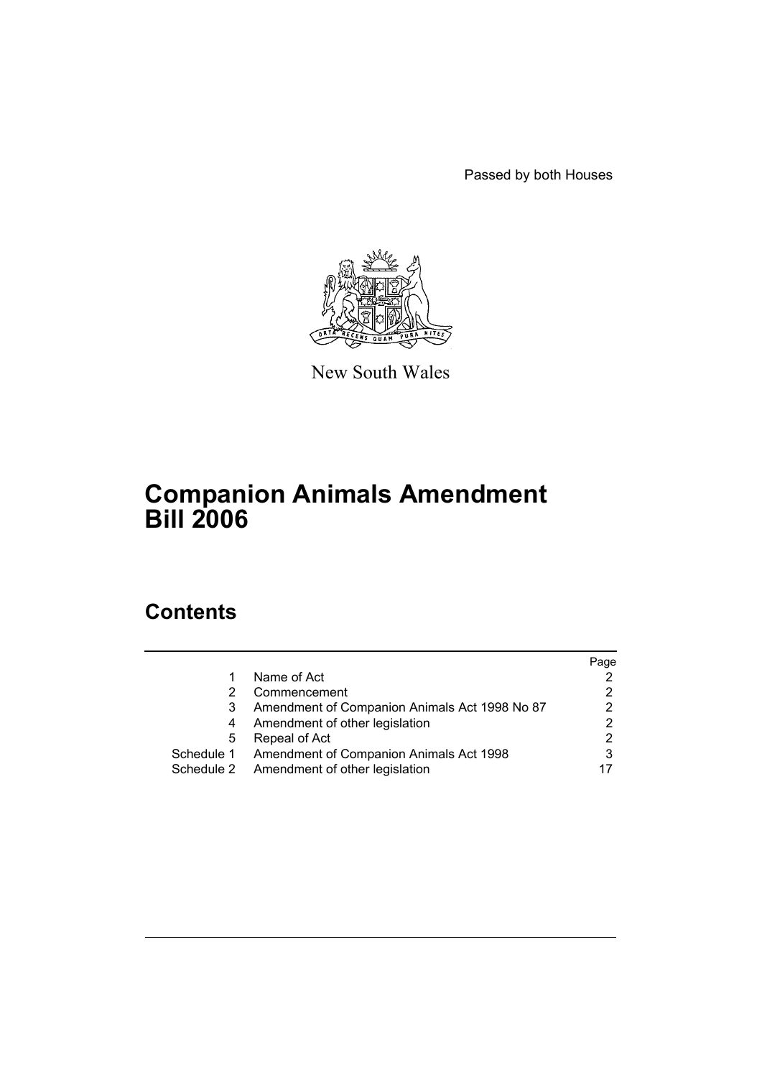Passed by both Houses



New South Wales

# **Companion Animals Amendment Bill 2006**

# **Contents**

|   |                                                    | Page |
|---|----------------------------------------------------|------|
|   | Name of Act                                        |      |
|   | Commencement                                       |      |
| 3 | Amendment of Companion Animals Act 1998 No 87      | 2    |
| 4 | Amendment of other legislation                     |      |
| 5 | Repeal of Act                                      |      |
|   | Schedule 1 Amendment of Companion Animals Act 1998 | 3    |
|   | Schedule 2 Amendment of other legislation          |      |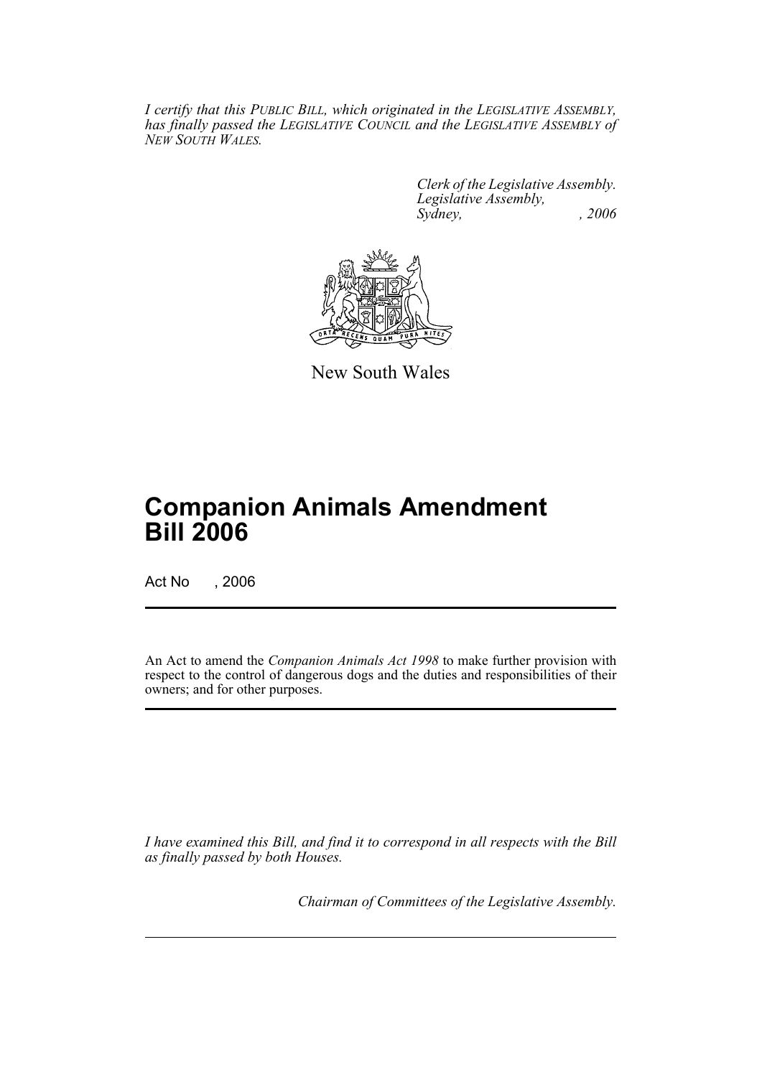*I certify that this PUBLIC BILL, which originated in the LEGISLATIVE ASSEMBLY, has finally passed the LEGISLATIVE COUNCIL and the LEGISLATIVE ASSEMBLY of NEW SOUTH WALES.*

> *Clerk of the Legislative Assembly. Legislative Assembly, Sydney, , 2006*



New South Wales

# **Companion Animals Amendment Bill 2006**

Act No , 2006

An Act to amend the *Companion Animals Act 1998* to make further provision with respect to the control of dangerous dogs and the duties and responsibilities of their owners; and for other purposes.

*I have examined this Bill, and find it to correspond in all respects with the Bill as finally passed by both Houses.*

*Chairman of Committees of the Legislative Assembly.*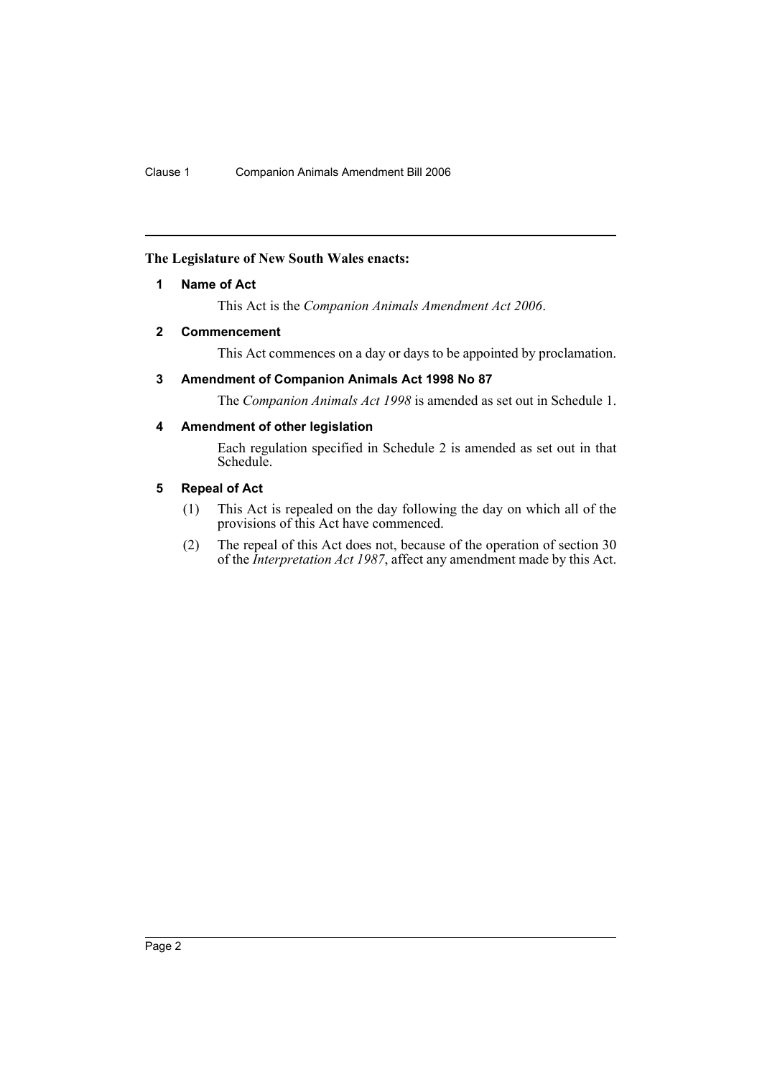# **The Legislature of New South Wales enacts:**

# **1 Name of Act**

This Act is the *Companion Animals Amendment Act 2006*.

# **2 Commencement**

This Act commences on a day or days to be appointed by proclamation.

# **3 Amendment of Companion Animals Act 1998 No 87**

The *Companion Animals Act 1998* is amended as set out in Schedule 1.

# **4 Amendment of other legislation**

Each regulation specified in Schedule 2 is amended as set out in that Schedule.

# **5 Repeal of Act**

- (1) This Act is repealed on the day following the day on which all of the provisions of this Act have commenced.
- (2) The repeal of this Act does not, because of the operation of section 30 of the *Interpretation Act 1987*, affect any amendment made by this Act.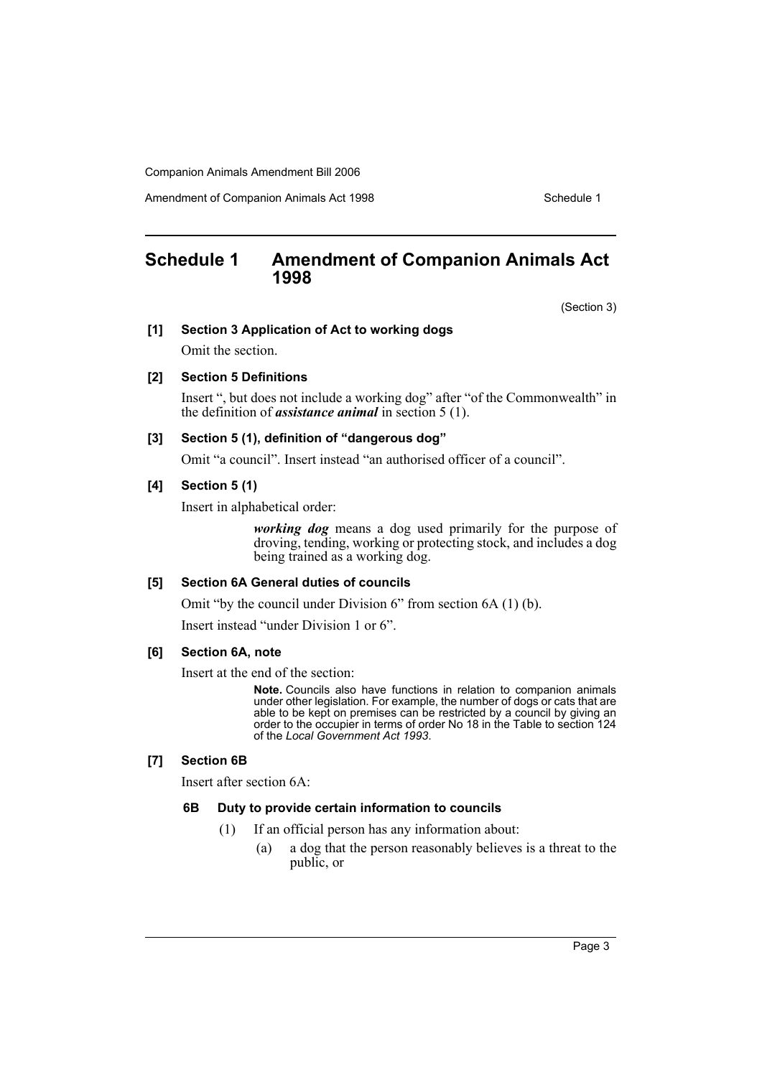Amendment of Companion Animals Act 1998 **Schedule 1** Schedule 1

# **Schedule 1 Amendment of Companion Animals Act 1998**

(Section 3)

## **[1] Section 3 Application of Act to working dogs**

Omit the section.

#### **[2] Section 5 Definitions**

Insert ", but does not include a working dog" after "of the Commonwealth" in the definition of *assistance animal* in section 5 (1).

## **[3] Section 5 (1), definition of "dangerous dog"**

Omit "a council". Insert instead "an authorised officer of a council".

# **[4] Section 5 (1)**

Insert in alphabetical order:

*working dog* means a dog used primarily for the purpose of droving, tending, working or protecting stock, and includes a dog being trained as a working dog.

# **[5] Section 6A General duties of councils**

Omit "by the council under Division 6" from section 6A (1) (b).

Insert instead "under Division 1 or 6".

# **[6] Section 6A, note**

Insert at the end of the section:

**Note.** Councils also have functions in relation to companion animals under other legislation. For example, the number of dogs or cats that are able to be kept on premises can be restricted by a council by giving an order to the occupier in terms of order No 18 in the Table to section 124 of the *Local Government Act 1993*.

# **[7] Section 6B**

Insert after section 6A:

## **6B Duty to provide certain information to councils**

- (1) If an official person has any information about:
	- (a) a dog that the person reasonably believes is a threat to the public, or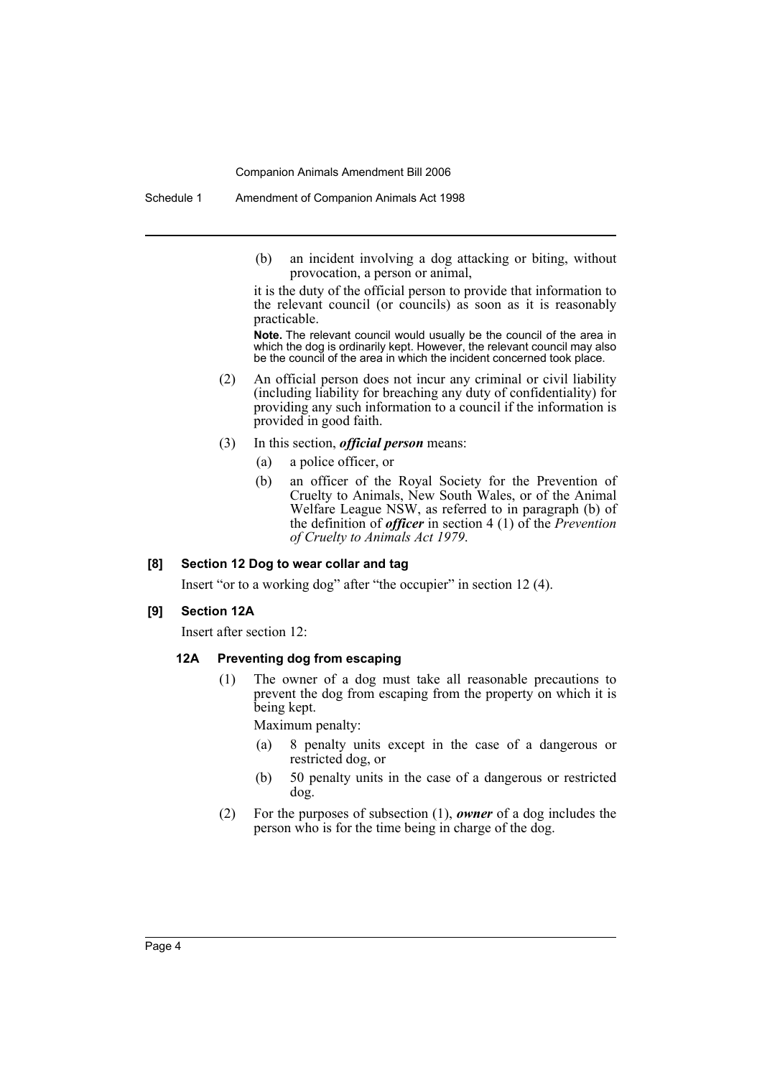(b) an incident involving a dog attacking or biting, without provocation, a person or animal,

it is the duty of the official person to provide that information to the relevant council (or councils) as soon as it is reasonably practicable.

**Note.** The relevant council would usually be the council of the area in which the dog is ordinarily kept. However, the relevant council may also be the council of the area in which the incident concerned took place.

- (2) An official person does not incur any criminal or civil liability (including liability for breaching any duty of confidentiality) for providing any such information to a council if the information is provided in good faith.
- (3) In this section, *official person* means:
	- (a) a police officer, or
	- (b) an officer of the Royal Society for the Prevention of Cruelty to Animals, New South Wales, or of the Animal Welfare League NSW, as referred to in paragraph (b) of the definition of *officer* in section 4 (1) of the *Prevention of Cruelty to Animals Act 1979*.

#### **[8] Section 12 Dog to wear collar and tag**

Insert "or to a working dog" after "the occupier" in section 12 (4).

#### **[9] Section 12A**

Insert after section 12:

# **12A Preventing dog from escaping**

(1) The owner of a dog must take all reasonable precautions to prevent the dog from escaping from the property on which it is being kept.

Maximum penalty:

- (a) 8 penalty units except in the case of a dangerous or restricted dog, or
- (b) 50 penalty units in the case of a dangerous or restricted dog.
- (2) For the purposes of subsection (1), *owner* of a dog includes the person who is for the time being in charge of the dog.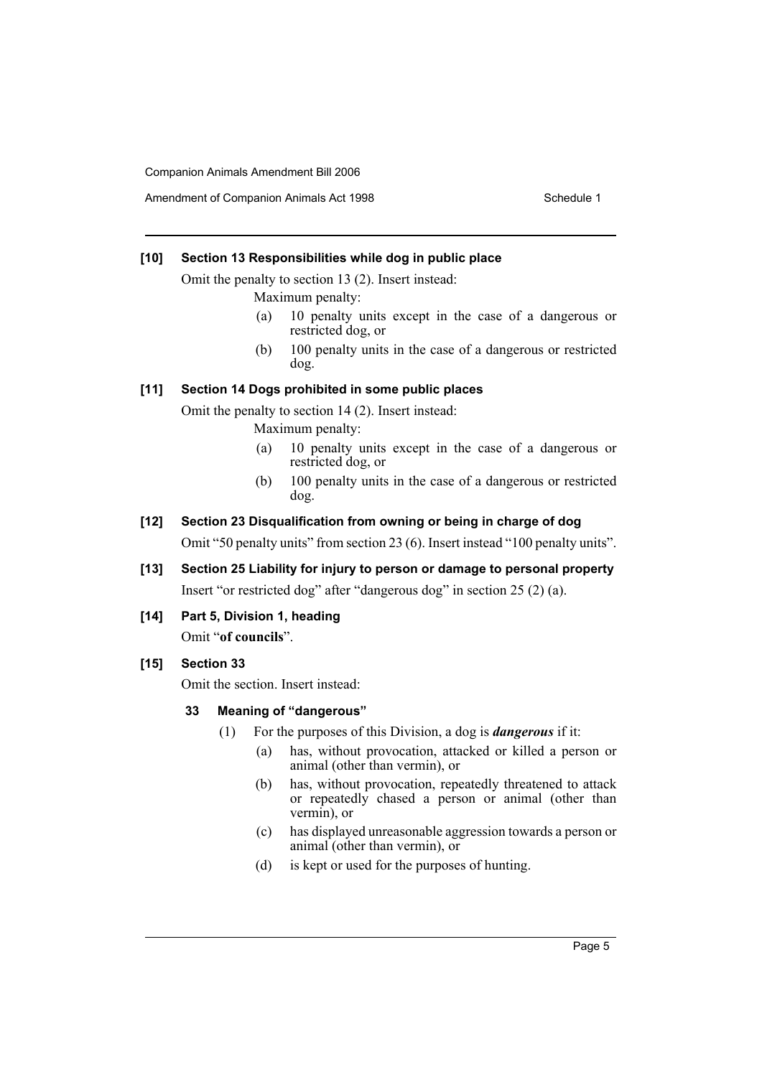# **[10] Section 13 Responsibilities while dog in public place**

Omit the penalty to section 13 (2). Insert instead:

Maximum penalty:

- (a) 10 penalty units except in the case of a dangerous or restricted dog, or
- (b) 100 penalty units in the case of a dangerous or restricted dog.

# **[11] Section 14 Dogs prohibited in some public places**

Omit the penalty to section 14 (2). Insert instead:

Maximum penalty:

- (a) 10 penalty units except in the case of a dangerous or restricted dog, or
- (b) 100 penalty units in the case of a dangerous or restricted dog.

# **[12] Section 23 Disqualification from owning or being in charge of dog**

Omit "50 penalty units" from section 23 (6). Insert instead "100 penalty units".

- **[13] Section 25 Liability for injury to person or damage to personal property** Insert "or restricted dog" after "dangerous dog" in section 25 (2) (a).
- **[14] Part 5, Division 1, heading**

Omit "**of councils**".

# **[15] Section 33**

Omit the section. Insert instead:

# **33 Meaning of "dangerous"**

- (1) For the purposes of this Division, a dog is *dangerous* if it:
	- (a) has, without provocation, attacked or killed a person or animal (other than vermin), or
	- (b) has, without provocation, repeatedly threatened to attack or repeatedly chased a person or animal (other than vermin), or
	- (c) has displayed unreasonable aggression towards a person or animal (other than vermin), or
	- (d) is kept or used for the purposes of hunting.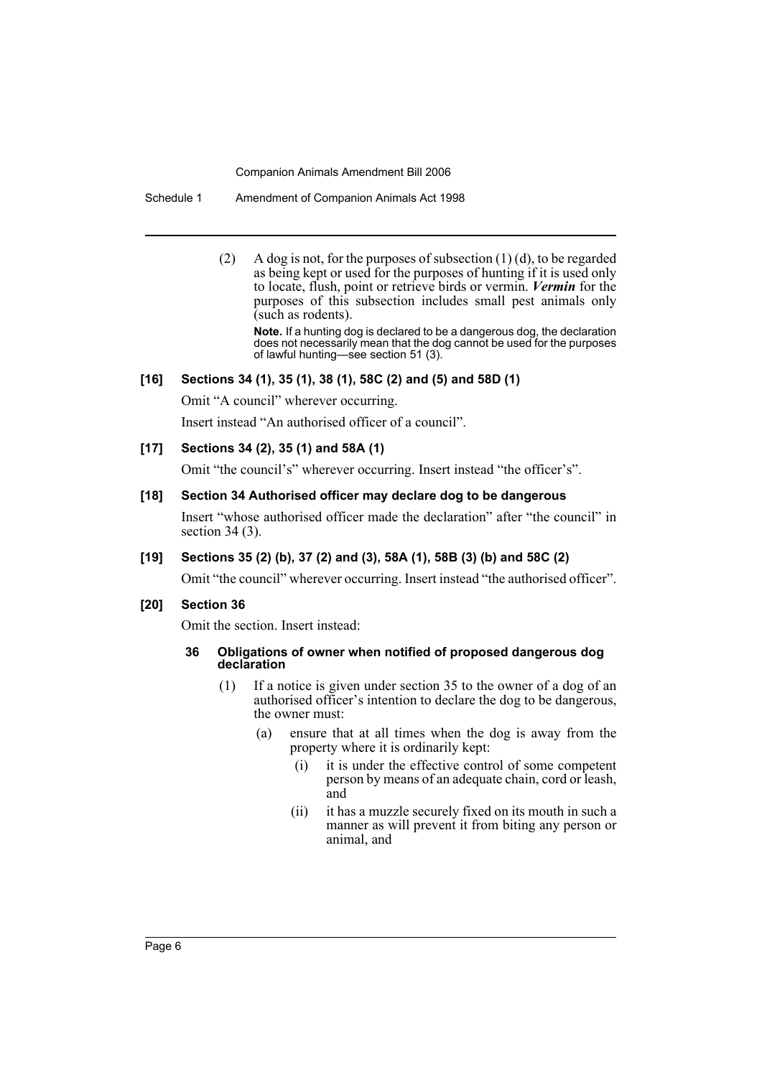Schedule 1 Amendment of Companion Animals Act 1998

(2) A dog is not, for the purposes of subsection  $(1)$  (d), to be regarded as being kept or used for the purposes of hunting if it is used only to locate, flush, point or retrieve birds or vermin. *Vermin* for the purposes of this subsection includes small pest animals only (such as rodents).

**Note.** If a hunting dog is declared to be a dangerous dog, the declaration does not necessarily mean that the dog cannot be used for the purposes of lawful hunting—see section 51 (3).

# **[16] Sections 34 (1), 35 (1), 38 (1), 58C (2) and (5) and 58D (1)**

Omit "A council" wherever occurring.

Insert instead "An authorised officer of a council".

# **[17] Sections 34 (2), 35 (1) and 58A (1)**

Omit "the council's" wherever occurring. Insert instead "the officer's".

# **[18] Section 34 Authorised officer may declare dog to be dangerous**

Insert "whose authorised officer made the declaration" after "the council" in section 34 (3).

# **[19] Sections 35 (2) (b), 37 (2) and (3), 58A (1), 58B (3) (b) and 58C (2)**

Omit "the council" wherever occurring. Insert instead "the authorised officer".

#### **[20] Section 36**

Omit the section. Insert instead:

#### **36 Obligations of owner when notified of proposed dangerous dog declaration**

- (1) If a notice is given under section 35 to the owner of a dog of an authorised officer's intention to declare the dog to be dangerous, the owner must:
	- (a) ensure that at all times when the dog is away from the property where it is ordinarily kept:
		- (i) it is under the effective control of some competent person by means of an adequate chain, cord or leash, and
		- (ii) it has a muzzle securely fixed on its mouth in such a manner as will prevent it from biting any person or animal, and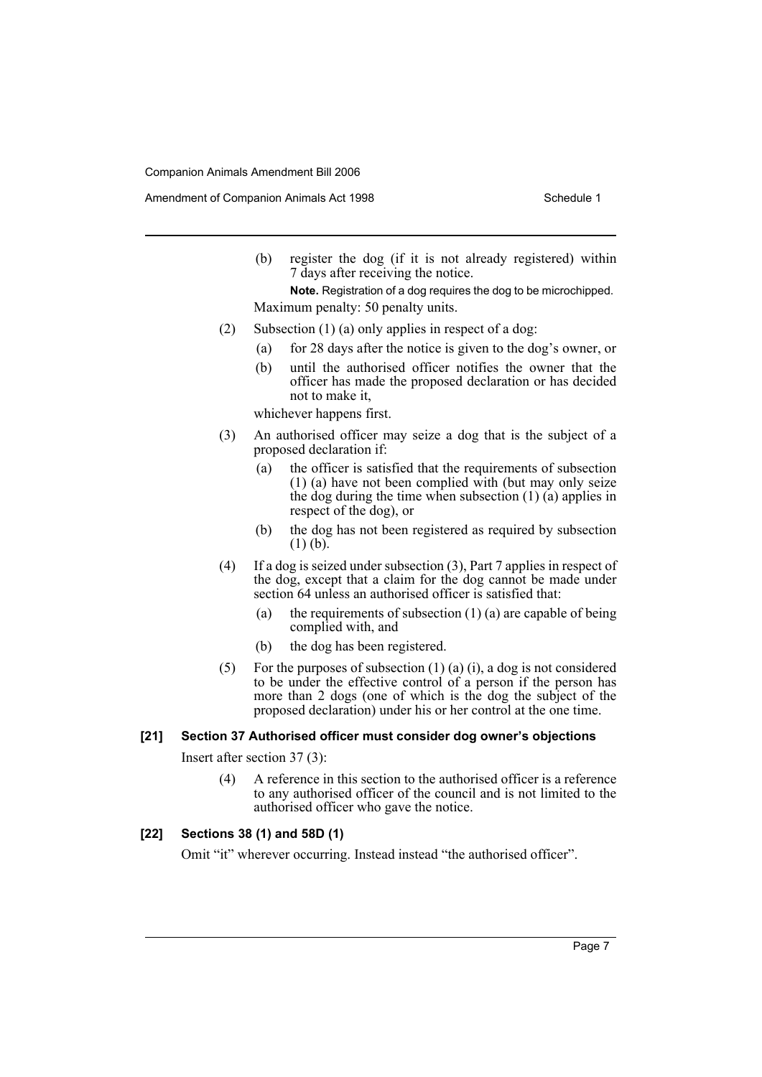Amendment of Companion Animals Act 1998 Schedule 1

(b) register the dog (if it is not already registered) within 7 days after receiving the notice.

**Note.** Registration of a dog requires the dog to be microchipped. Maximum penalty: 50 penalty units.

- (2) Subsection (1) (a) only applies in respect of a dog:
	- (a) for 28 days after the notice is given to the dog's owner, or
	- (b) until the authorised officer notifies the owner that the officer has made the proposed declaration or has decided not to make it,

whichever happens first.

- (3) An authorised officer may seize a dog that is the subject of a proposed declaration if:
	- (a) the officer is satisfied that the requirements of subsection (1) (a) have not been complied with (but may only seize the dog during the time when subsection  $(1)$   $(a)$  applies in respect of the dog), or
	- (b) the dog has not been registered as required by subsection  $(1)$  (b).
- (4) If a dog is seized under subsection (3), Part 7 applies in respect of the dog, except that a claim for the dog cannot be made under section 64 unless an authorised officer is satisfied that:
	- (a) the requirements of subsection  $(1)$  (a) are capable of being complied with, and
	- (b) the dog has been registered.
- (5) For the purposes of subsection  $(1)$  (a) (i), a dog is not considered to be under the effective control of a person if the person has more than 2 dogs (one of which is the dog the subject of the proposed declaration) under his or her control at the one time.

#### **[21] Section 37 Authorised officer must consider dog owner's objections**

Insert after section 37 (3):

(4) A reference in this section to the authorised officer is a reference to any authorised officer of the council and is not limited to the authorised officer who gave the notice.

# **[22] Sections 38 (1) and 58D (1)**

Omit "it" wherever occurring. Instead instead "the authorised officer".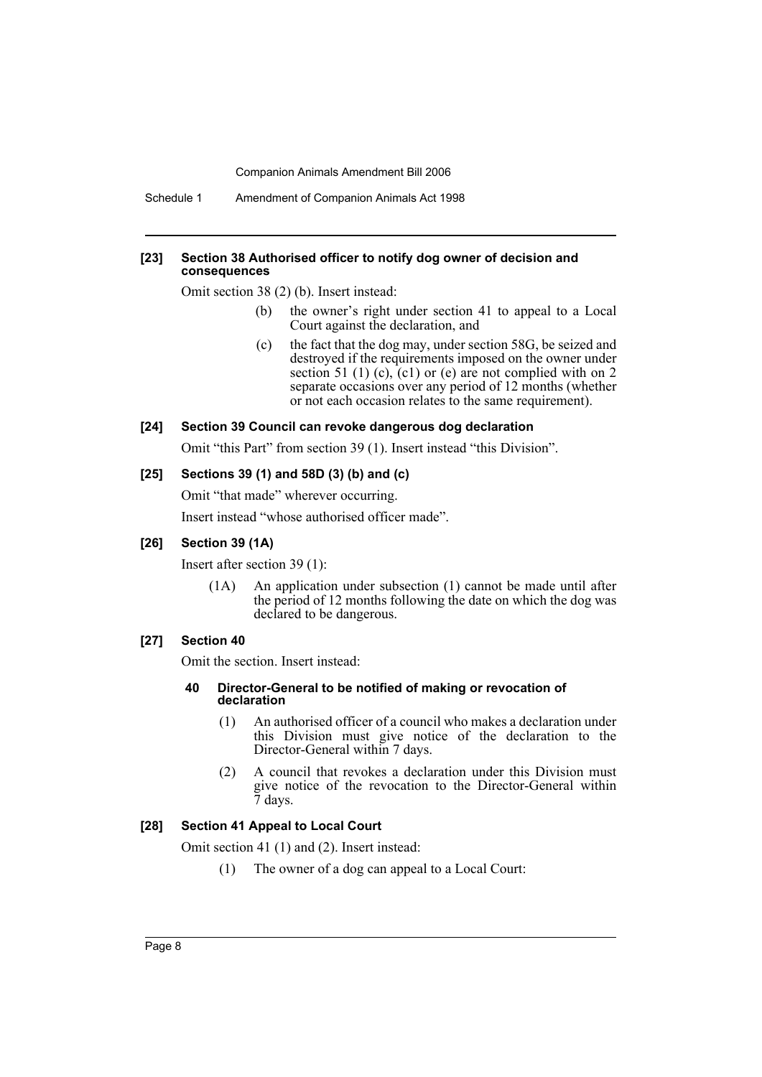#### **[23] Section 38 Authorised officer to notify dog owner of decision and consequences**

Omit section 38 (2) (b). Insert instead:

- (b) the owner's right under section 41 to appeal to a Local Court against the declaration, and
- (c) the fact that the dog may, under section 58G, be seized and destroyed if the requirements imposed on the owner under section 51 (1) (c),  $(c1)$  or (e) are not complied with on 2 separate occasions over any period of 12 months (whether or not each occasion relates to the same requirement).

## **[24] Section 39 Council can revoke dangerous dog declaration**

Omit "this Part" from section 39 (1). Insert instead "this Division".

## **[25] Sections 39 (1) and 58D (3) (b) and (c)**

Omit "that made" wherever occurring.

Insert instead "whose authorised officer made".

# **[26] Section 39 (1A)**

Insert after section 39 (1):

(1A) An application under subsection (1) cannot be made until after the period of 12 months following the date on which the dog was declared to be dangerous.

## **[27] Section 40**

Omit the section. Insert instead:

#### **40 Director-General to be notified of making or revocation of declaration**

- (1) An authorised officer of a council who makes a declaration under this Division must give notice of the declaration to the Director-General within 7 days.
- (2) A council that revokes a declaration under this Division must give notice of the revocation to the Director-General within 7 days.

#### **[28] Section 41 Appeal to Local Court**

Omit section 41 (1) and (2). Insert instead:

(1) The owner of a dog can appeal to a Local Court: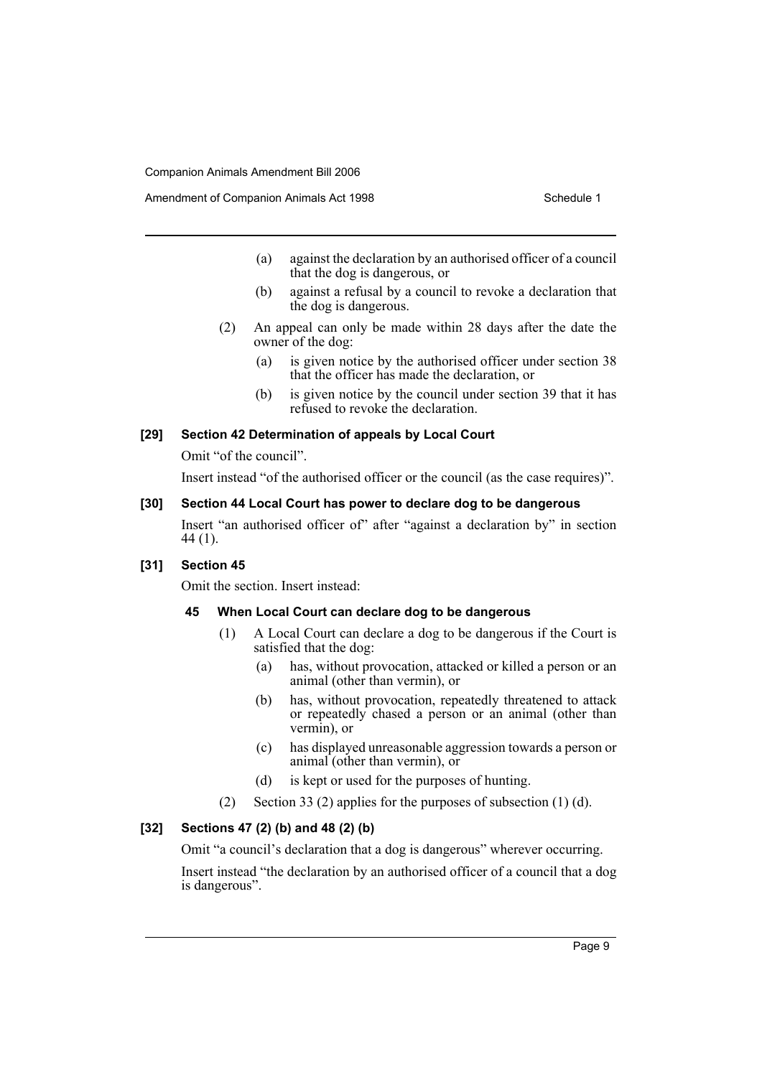- (a) against the declaration by an authorised officer of a council that the dog is dangerous, or
- (b) against a refusal by a council to revoke a declaration that the dog is dangerous.
- (2) An appeal can only be made within 28 days after the date the owner of the dog:
	- (a) is given notice by the authorised officer under section 38 that the officer has made the declaration, or
	- (b) is given notice by the council under section 39 that it has refused to revoke the declaration.

#### **[29] Section 42 Determination of appeals by Local Court**

Omit "of the council".

Insert instead "of the authorised officer or the council (as the case requires)".

# **[30] Section 44 Local Court has power to declare dog to be dangerous**

Insert "an authorised officer of" after "against a declaration by" in section 44 (1).

# **[31] Section 45**

Omit the section. Insert instead:

# **45 When Local Court can declare dog to be dangerous**

- (1) A Local Court can declare a dog to be dangerous if the Court is satisfied that the dog:
	- (a) has, without provocation, attacked or killed a person or an animal (other than vermin), or
	- (b) has, without provocation, repeatedly threatened to attack or repeatedly chased a person or an animal (other than vermin), or
	- (c) has displayed unreasonable aggression towards a person or animal (other than vermin), or
	- (d) is kept or used for the purposes of hunting.
- (2) Section 33 (2) applies for the purposes of subsection (1) (d).

### **[32] Sections 47 (2) (b) and 48 (2) (b)**

Omit "a council's declaration that a dog is dangerous" wherever occurring.

Insert instead "the declaration by an authorised officer of a council that a dog is dangerous".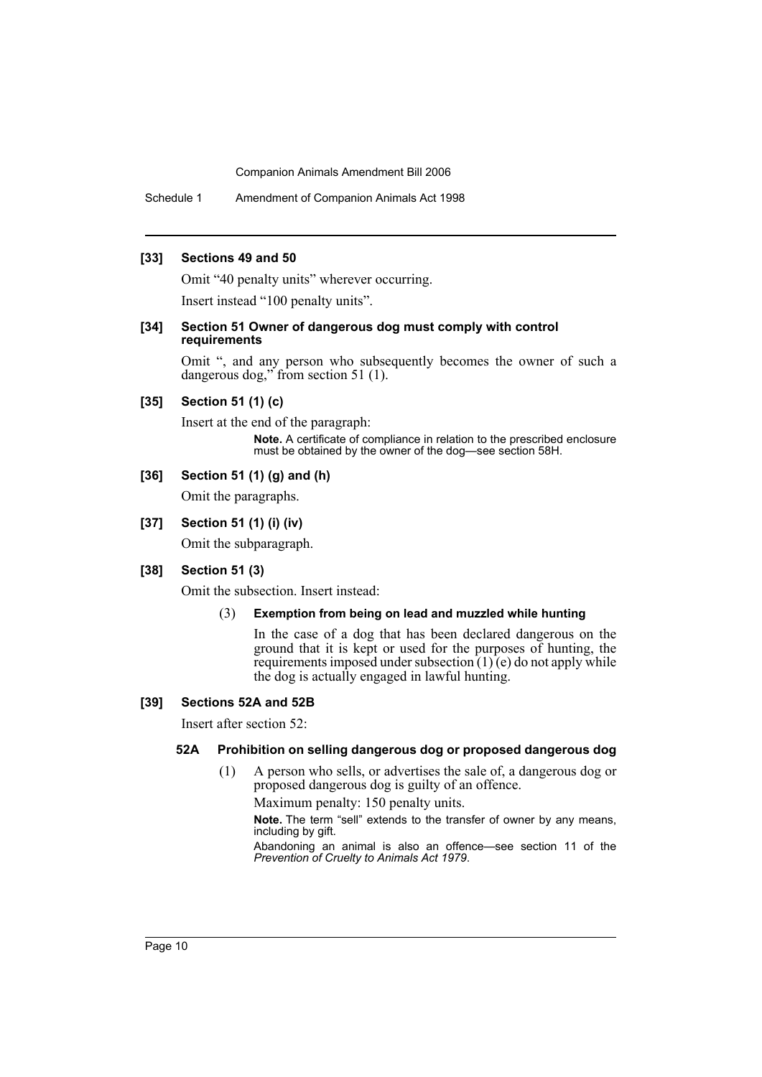Schedule 1 Amendment of Companion Animals Act 1998

#### **[33] Sections 49 and 50**

Omit "40 penalty units" wherever occurring.

Insert instead "100 penalty units".

#### **[34] Section 51 Owner of dangerous dog must comply with control requirements**

Omit ", and any person who subsequently becomes the owner of such a dangerous dog," from section 51 (1).

# **[35] Section 51 (1) (c)**

Insert at the end of the paragraph: **Note.** A certificate of compliance in relation to the prescribed enclosure must be obtained by the owner of the dog—see section 58H.

# **[36] Section 51 (1) (g) and (h)**

Omit the paragraphs.

# **[37] Section 51 (1) (i) (iv)**

Omit the subparagraph.

# **[38] Section 51 (3)**

Omit the subsection. Insert instead:

#### (3) **Exemption from being on lead and muzzled while hunting**

In the case of a dog that has been declared dangerous on the ground that it is kept or used for the purposes of hunting, the requirements imposed under subsection  $(1)$  $(e)$  do not apply while the dog is actually engaged in lawful hunting.

#### **[39] Sections 52A and 52B**

Insert after section 52:

# **52A Prohibition on selling dangerous dog or proposed dangerous dog**

(1) A person who sells, or advertises the sale of, a dangerous dog or proposed dangerous dog is guilty of an offence.

Maximum penalty: 150 penalty units.

**Note.** The term "sell" extends to the transfer of owner by any means, including by gift.

Abandoning an animal is also an offence—see section 11 of the *Prevention of Cruelty to Animals Act 1979*.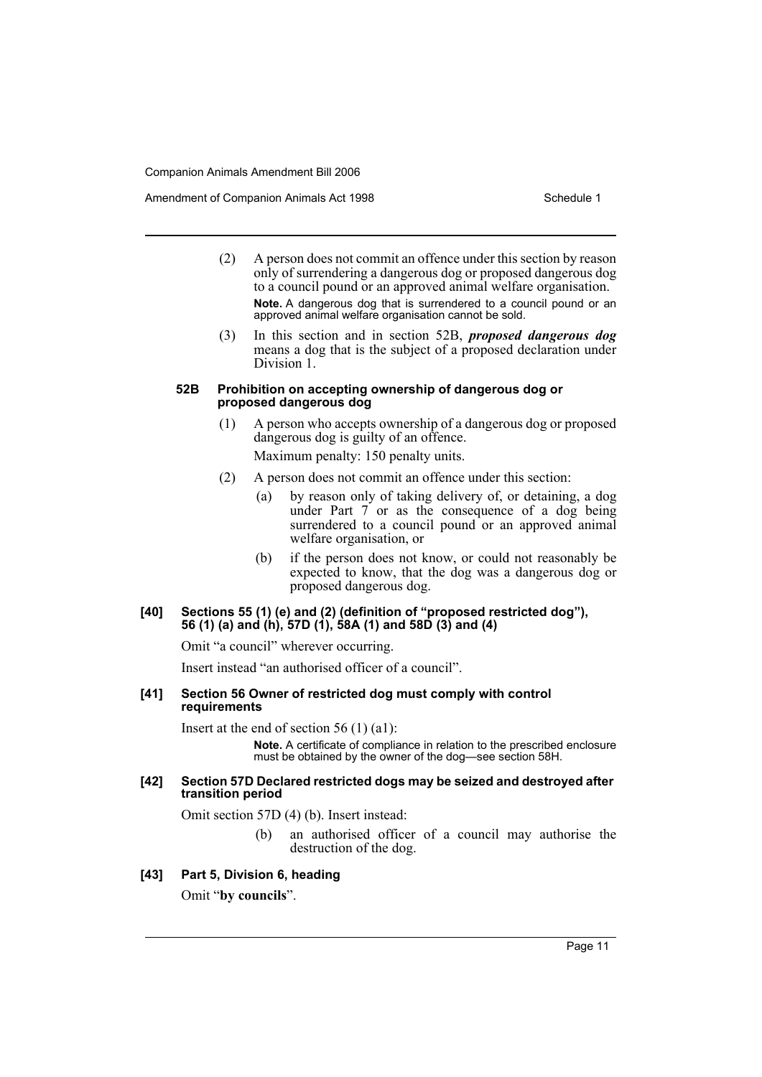Amendment of Companion Animals Act 1998 Schedule 1

- (2) A person does not commit an offence under this section by reason only of surrendering a dangerous dog or proposed dangerous dog to a council pound or an approved animal welfare organisation. **Note.** A dangerous dog that is surrendered to a council pound or an approved animal welfare organisation cannot be sold.
- (3) In this section and in section 52B, *proposed dangerous dog* means a dog that is the subject of a proposed declaration under Division 1.

#### **52B Prohibition on accepting ownership of dangerous dog or proposed dangerous dog**

(1) A person who accepts ownership of a dangerous dog or proposed dangerous dog is guilty of an offence.

Maximum penalty: 150 penalty units.

- (2) A person does not commit an offence under this section:
	- (a) by reason only of taking delivery of, or detaining, a dog under Part 7 or as the consequence of a dog being surrendered to a council pound or an approved animal welfare organisation, or
	- (b) if the person does not know, or could not reasonably be expected to know, that the dog was a dangerous dog or proposed dangerous dog.

#### **[40] Sections 55 (1) (e) and (2) (definition of "proposed restricted dog"), 56 (1) (a) and (h), 57D (1), 58A (1) and 58D (3) and (4)**

Omit "a council" wherever occurring.

Insert instead "an authorised officer of a council".

**[41] Section 56 Owner of restricted dog must comply with control requirements**

Insert at the end of section 56 (1) (a1):

**Note.** A certificate of compliance in relation to the prescribed enclosure must be obtained by the owner of the dog—see section 58H.

#### **[42] Section 57D Declared restricted dogs may be seized and destroyed after transition period**

Omit section 57D (4) (b). Insert instead:

(b) an authorised officer of a council may authorise the destruction of the dog.

## **[43] Part 5, Division 6, heading**

Omit "**by councils**".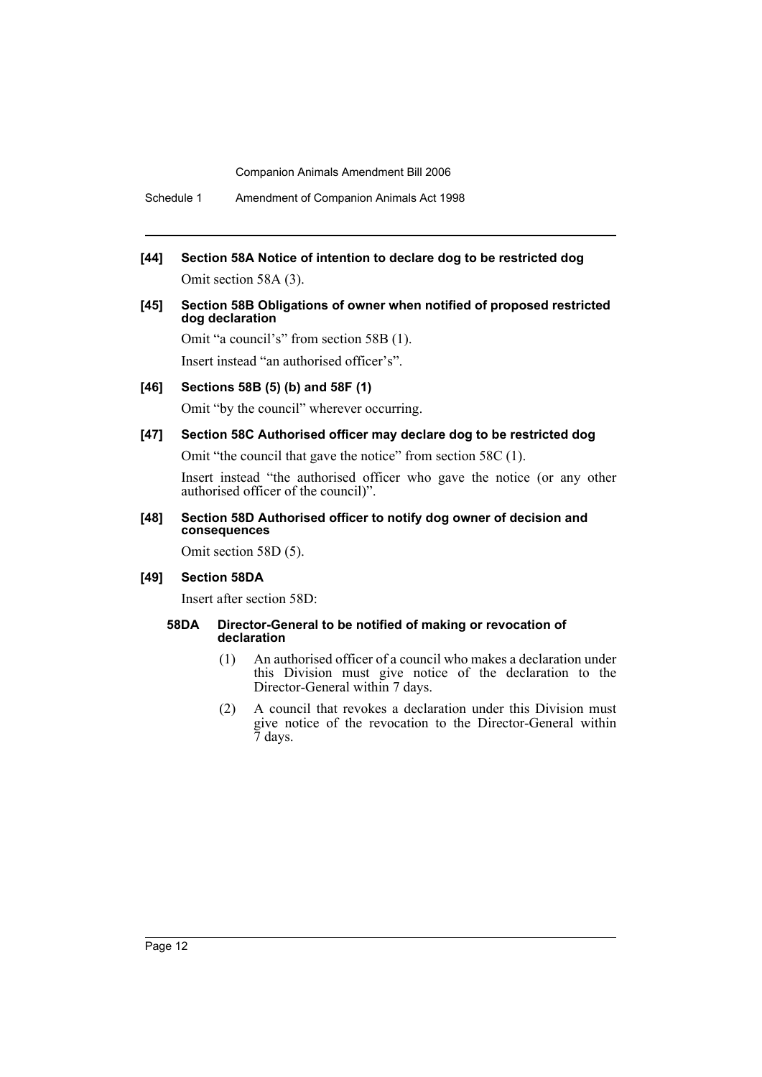**[44] Section 58A Notice of intention to declare dog to be restricted dog** Omit section 58A (3).

#### **[45] Section 58B Obligations of owner when notified of proposed restricted dog declaration**

Omit "a council's" from section 58B (1). Insert instead "an authorised officer's".

**[46] Sections 58B (5) (b) and 58F (1)**

Omit "by the council" wherever occurring.

### **[47] Section 58C Authorised officer may declare dog to be restricted dog**

Omit "the council that gave the notice" from section 58C (1).

Insert instead "the authorised officer who gave the notice (or any other authorised officer of the council)".

# **[48] Section 58D Authorised officer to notify dog owner of decision and consequences**

Omit section 58D (5).

#### **[49] Section 58DA**

Insert after section 58D:

#### **58DA Director-General to be notified of making or revocation of declaration**

- (1) An authorised officer of a council who makes a declaration under this Division must give notice of the declaration to the Director-General within 7 days.
- (2) A council that revokes a declaration under this Division must give notice of the revocation to the Director-General within 7 days.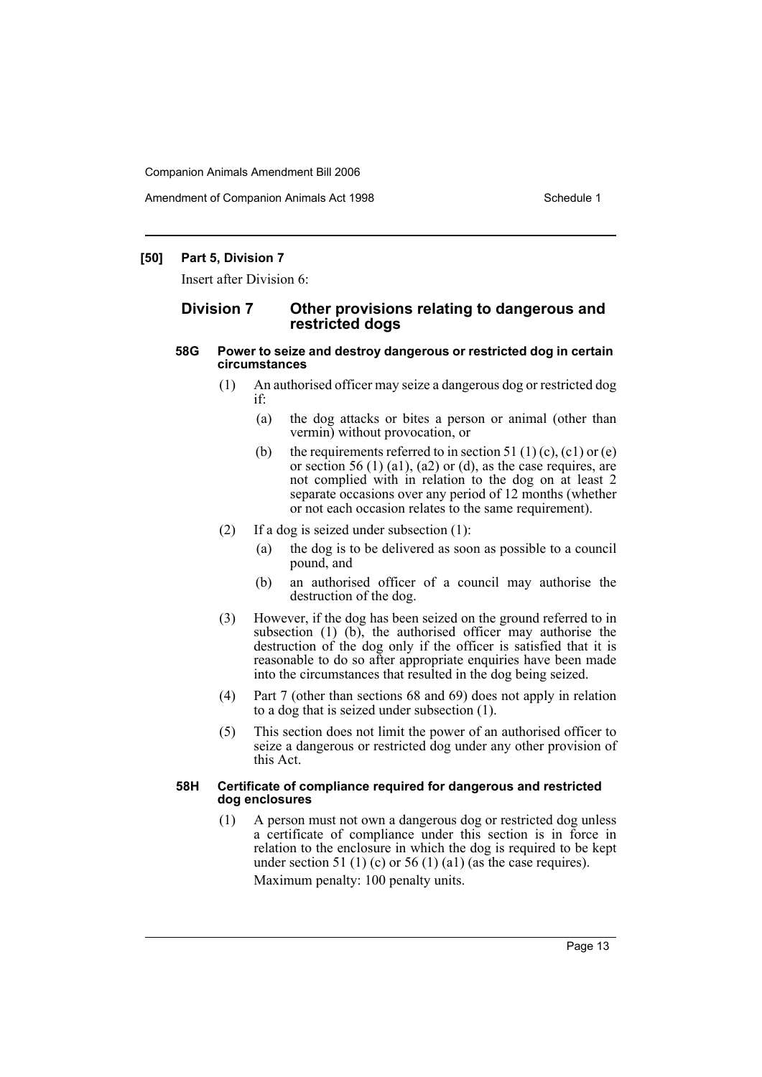Amendment of Companion Animals Act 1998 Schedule 1

# **[50] Part 5, Division 7**

Insert after Division 6:

# **Division 7 Other provisions relating to dangerous and restricted dogs**

#### **58G Power to seize and destroy dangerous or restricted dog in certain circumstances**

- (1) An authorised officer may seize a dangerous dog or restricted dog if:
	- (a) the dog attacks or bites a person or animal (other than vermin) without provocation, or
	- (b) the requirements referred to in section 51 (1) (c), (c1) or (e) or section 56 (1) (a1), (a2) or (d), as the case requires, are not complied with in relation to the dog on at least 2 separate occasions over any period of 12 months (whether or not each occasion relates to the same requirement).
- (2) If a dog is seized under subsection (1):
	- (a) the dog is to be delivered as soon as possible to a council pound, and
	- (b) an authorised officer of a council may authorise the destruction of the dog.
- (3) However, if the dog has been seized on the ground referred to in subsection (1) (b), the authorised officer may authorise the destruction of the dog only if the officer is satisfied that it is reasonable to do so after appropriate enquiries have been made into the circumstances that resulted in the dog being seized.
- (4) Part 7 (other than sections 68 and 69) does not apply in relation to a dog that is seized under subsection (1).
- (5) This section does not limit the power of an authorised officer to seize a dangerous or restricted dog under any other provision of this Act.

#### **58H Certificate of compliance required for dangerous and restricted dog enclosures**

(1) A person must not own a dangerous dog or restricted dog unless a certificate of compliance under this section is in force in relation to the enclosure in which the dog is required to be kept under section 51 (1) (c) or 56 (1) (a1) (as the case requires). Maximum penalty: 100 penalty units.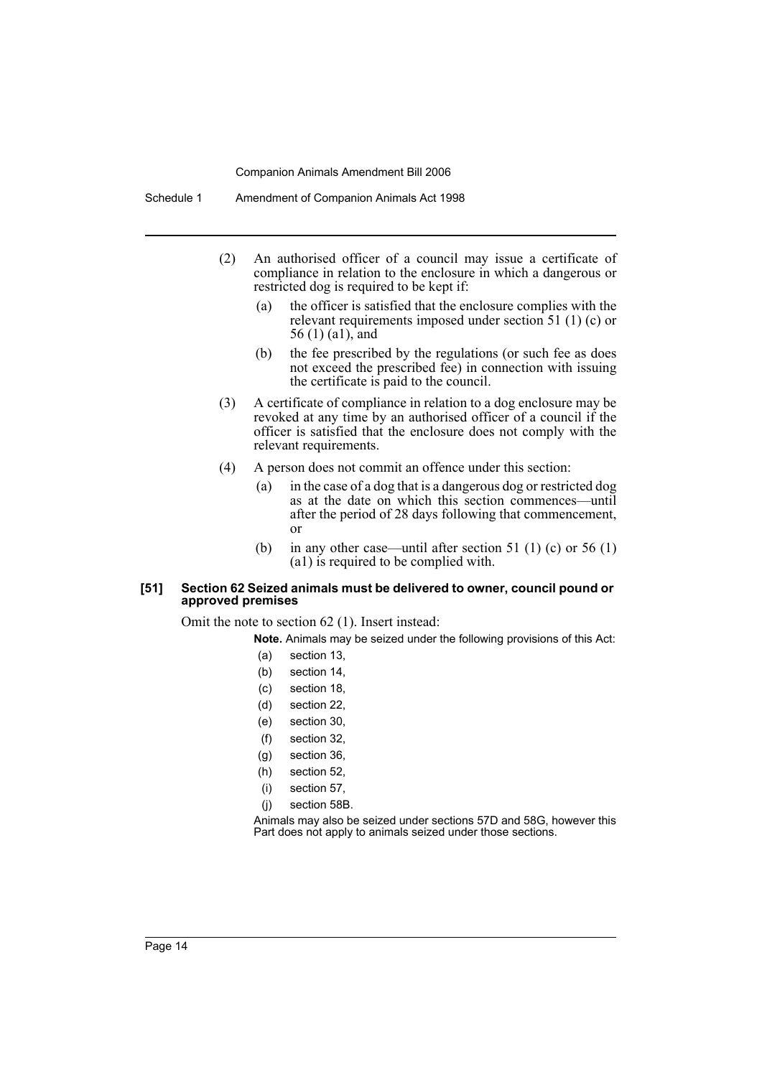- (2) An authorised officer of a council may issue a certificate of compliance in relation to the enclosure in which a dangerous or restricted dog is required to be kept if:
	- (a) the officer is satisfied that the enclosure complies with the relevant requirements imposed under section 51 (1) (c) or 56 (1) (a1), and
	- (b) the fee prescribed by the regulations (or such fee as does not exceed the prescribed fee) in connection with issuing the certificate is paid to the council.
- (3) A certificate of compliance in relation to a dog enclosure may be revoked at any time by an authorised officer of a council if the officer is satisfied that the enclosure does not comply with the relevant requirements.
- (4) A person does not commit an offence under this section:
	- (a) in the case of a dog that is a dangerous dog or restricted dog as at the date on which this section commences—until after the period of 28 days following that commencement, or
	- (b) in any other case—until after section 51 (1) (c) or 56 (1) (a1) is required to be complied with.

#### **[51] Section 62 Seized animals must be delivered to owner, council pound or approved premises**

Omit the note to section 62 (1). Insert instead:

**Note.** Animals may be seized under the following provisions of this Act:

- (a) section 13,
- (b) section 14,
- (c) section 18,
- (d) section 22,
- (e) section 30,
- (f) section 32,
- (g) section 36,
- (h) section 52,
- (i) section 57,
- (j) section 58B.

Animals may also be seized under sections 57D and 58G, however this Part does not apply to animals seized under those sections.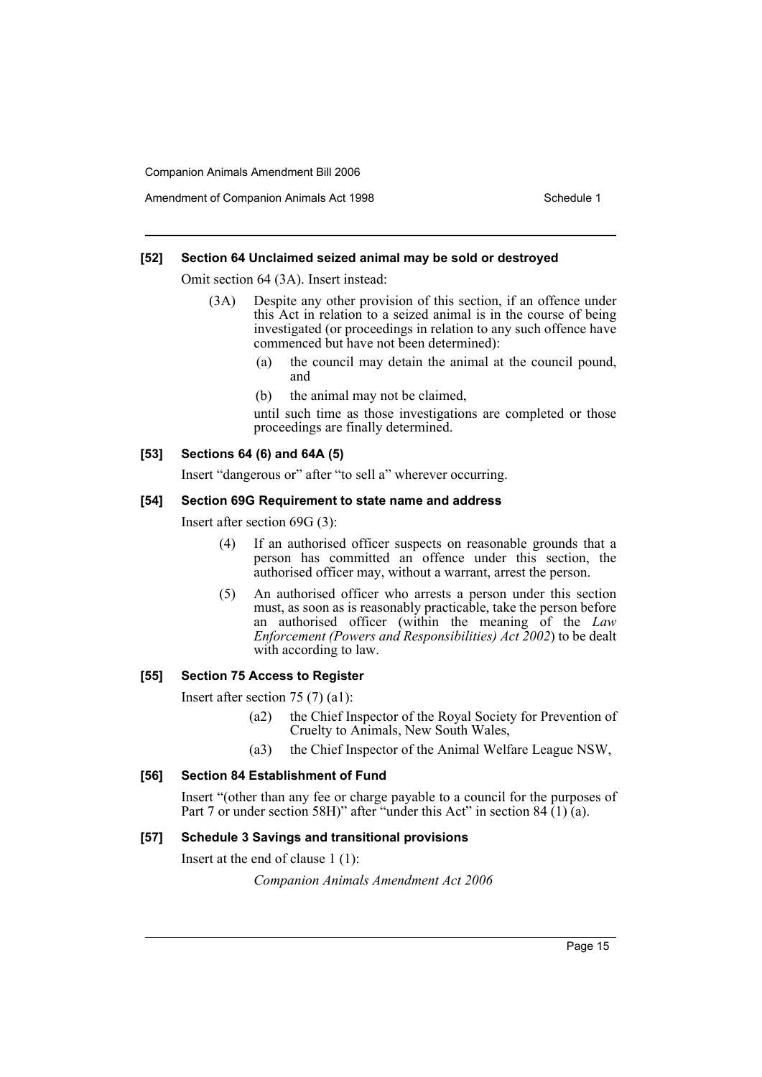### **[52] Section 64 Unclaimed seized animal may be sold or destroyed**

Omit section 64 (3A). Insert instead:

- (3A) Despite any other provision of this section, if an offence under this Act in relation to a seized animal is in the course of being investigated (or proceedings in relation to any such offence have commenced but have not been determined):
	- (a) the council may detain the animal at the council pound, and
	- (b) the animal may not be claimed,

until such time as those investigations are completed or those proceedings are finally determined.

# **[53] Sections 64 (6) and 64A (5)**

Insert "dangerous or" after "to sell a" wherever occurring.

#### **[54] Section 69G Requirement to state name and address**

Insert after section 69G (3):

- (4) If an authorised officer suspects on reasonable grounds that a person has committed an offence under this section, the authorised officer may, without a warrant, arrest the person.
- (5) An authorised officer who arrests a person under this section must, as soon as is reasonably practicable, take the person before an authorised officer (within the meaning of the *Law Enforcement (Powers and Responsibilities) Act 2002*) to be dealt with according to law.

# **[55] Section 75 Access to Register**

Insert after section 75 (7) (a1):

- (a2) the Chief Inspector of the Royal Society for Prevention of Cruelty to Animals, New South Wales,
- (a3) the Chief Inspector of the Animal Welfare League NSW,

# **[56] Section 84 Establishment of Fund**

Insert "(other than any fee or charge payable to a council for the purposes of Part 7 or under section 58H)" after "under this Act" in section 84 (1) (a).

#### **[57] Schedule 3 Savings and transitional provisions**

Insert at the end of clause 1 (1):

*Companion Animals Amendment Act 2006*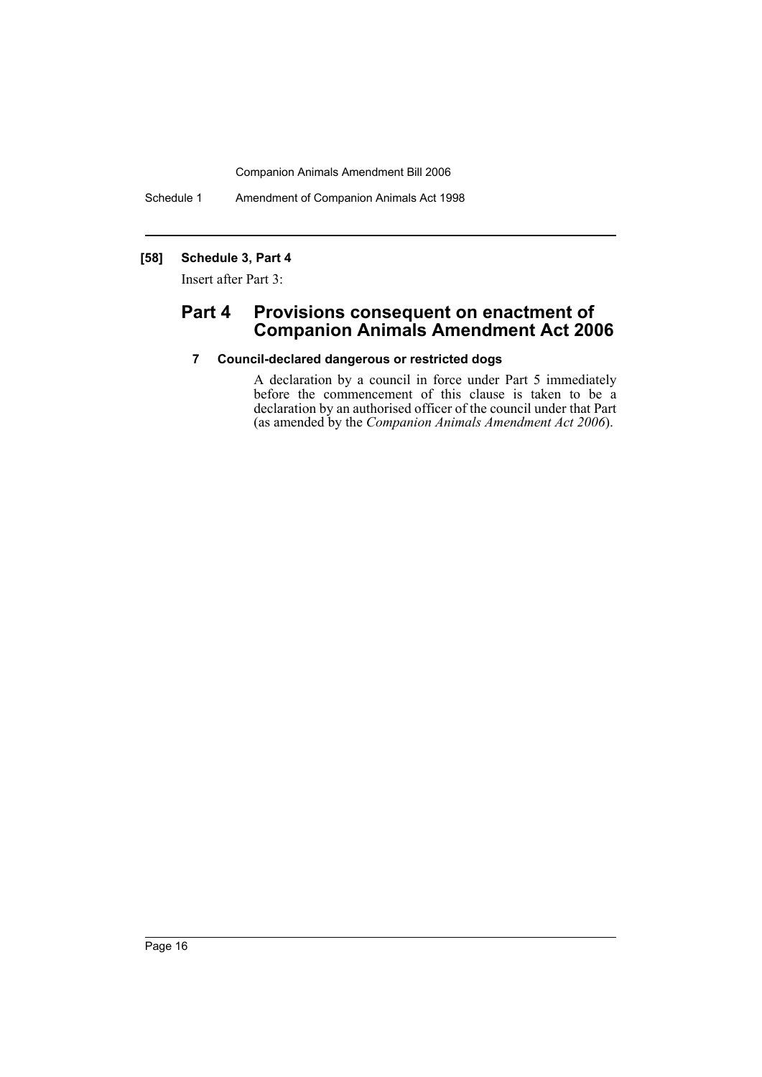Schedule 1 Amendment of Companion Animals Act 1998

# **[58] Schedule 3, Part 4**

Insert after Part 3:

# **Part 4 Provisions consequent on enactment of Companion Animals Amendment Act 2006**

# **7 Council-declared dangerous or restricted dogs**

A declaration by a council in force under Part 5 immediately before the commencement of this clause is taken to be a declaration by an authorised officer of the council under that Part (as amended by the *Companion Animals Amendment Act 2006*).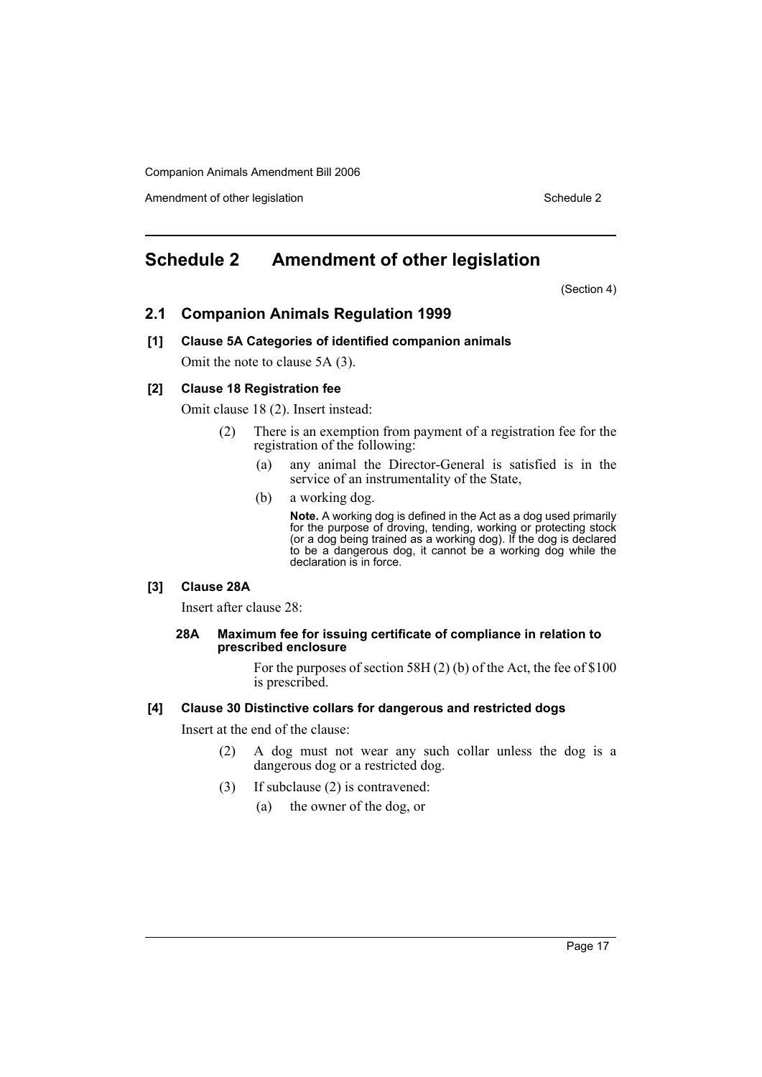Amendment of other legislation Schedule 2

# **Schedule 2 Amendment of other legislation**

(Section 4)

# **2.1 Companion Animals Regulation 1999**

# **[1] Clause 5A Categories of identified companion animals**

Omit the note to clause 5A (3).

# **[2] Clause 18 Registration fee**

Omit clause 18 (2). Insert instead:

- (2) There is an exemption from payment of a registration fee for the registration of the following:
	- (a) any animal the Director-General is satisfied is in the service of an instrumentality of the State,
	- (b) a working dog.

**Note.** A working dog is defined in the Act as a dog used primarily for the purpose of droving, tending, working or protecting stock (or a dog being trained as a working dog). If the dog is declared to be a dangerous dog, it cannot be a working dog while the declaration is in force.

# **[3] Clause 28A**

Insert after clause 28:

#### **28A Maximum fee for issuing certificate of compliance in relation to prescribed enclosure**

For the purposes of section 58H (2) (b) of the Act, the fee of \$100 is prescribed.

#### **[4] Clause 30 Distinctive collars for dangerous and restricted dogs**

Insert at the end of the clause:

- (2) A dog must not wear any such collar unless the dog is a dangerous dog or a restricted dog.
- (3) If subclause (2) is contravened:
	- (a) the owner of the dog, or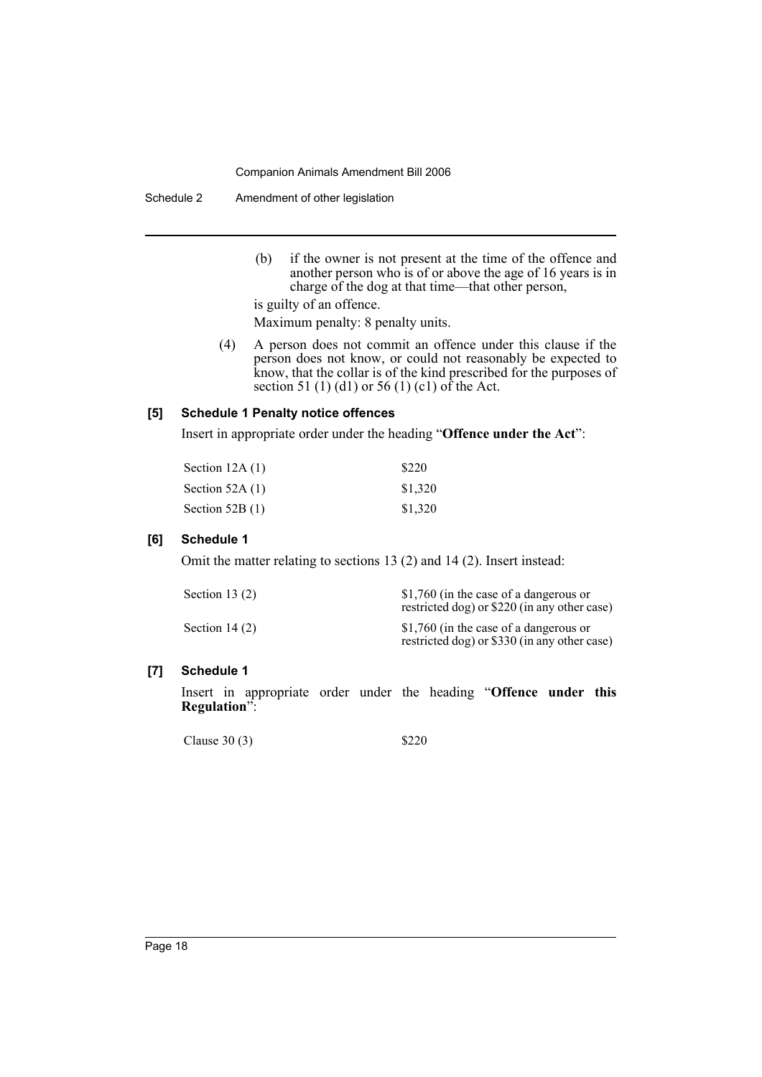Schedule 2 Amendment of other legislation

(b) if the owner is not present at the time of the offence and another person who is of or above the age of 16 years is in charge of the dog at that time—that other person,

is guilty of an offence.

- Maximum penalty: 8 penalty units.
- (4) A person does not commit an offence under this clause if the person does not know, or could not reasonably be expected to know, that the collar is of the kind prescribed for the purposes of section 51 (1) (d1) or 56 (1) (c1) of the Act.

# **[5] Schedule 1 Penalty notice offences**

Insert in appropriate order under the heading "**Offence under the Act**":

| Section $12A(1)$  | \$220   |
|-------------------|---------|
| Section 52A $(1)$ | \$1,320 |
| Section $52B(1)$  | \$1,320 |

# **[6] Schedule 1**

Omit the matter relating to sections 13 (2) and 14 (2). Insert instead:

| Section 13 $(2)$ | \$1,760 (in the case of a dangerous or<br>restricted dog) or \$220 (in any other case) |
|------------------|----------------------------------------------------------------------------------------|
| Section $14(2)$  | \$1,760 (in the case of a dangerous or<br>restricted dog) or \$330 (in any other case) |

# **[7] Schedule 1**

Insert in appropriate order under the heading "**Offence under this Regulation**":

Clause 30 (3)  $$220$